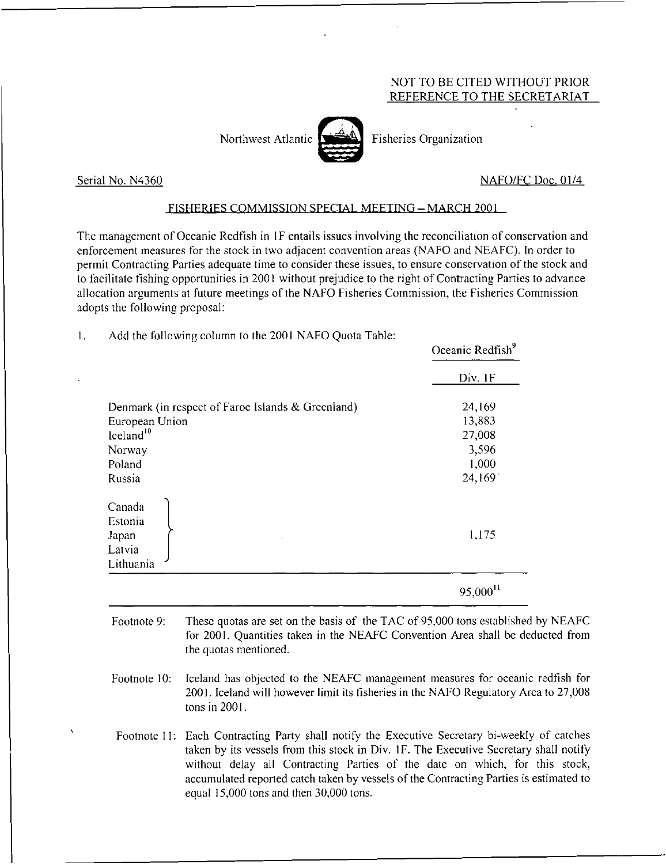## NOT TO BE CITED WITHOUT PRIOR REFERENCE TO THE SECRETARIAT



Northwest Atlantic  $\left[\right]$  Fisheries Organization

Serial No. N4360 NAFO/FC Doc. 01/4

## FISHERIES COMMISSION SPECIAL MEETING - MARCH 2001

The management of Oceanic Redfish in IF entails issues involving the reconciliation of conservation and enforcement measures for the stock in two adjacent convention areas (NAFO and NEAFC). In order to permit Contracting Parties adequate time to consider these issues, to ensure conservation of the stock and to facilitate fishing opportunities in 2001 without prejudice to the right of Contracting Parties to advance allocation arguments at future meetings of the NAFO Fisheries Commission, the Fisheries Commission adopts the following proposal:

 $1.$ Add the following column to the 2001 NAFO Quota Table:

|                                                   | Oceanic Redfish <sup>9</sup><br>Div. 1F |
|---------------------------------------------------|-----------------------------------------|
|                                                   |                                         |
| Denmark (in respect of Faroe Islands & Greenland) | 24,169                                  |
| European Union                                    | 13,883                                  |
| $I$ celand $10$                                   | 27,008                                  |
| Norway                                            | 3,596                                   |
| Poland                                            | 1,000                                   |
| Russia                                            | 24,169                                  |
| Canada<br>Estonia<br>Japan<br>Latvia<br>Lithuania | 1,175                                   |
|                                                   | 95,000 <sup>11</sup>                    |

- Footnote 9: These quotas are set on the basis of the TAC of 95,000 tons established by NEAFC for 2001. Quantities taken in the NEAFC Convention Area shall be deducted from the quotas mentioned.
- Footnote 10: Iceland has objected to the NEAFC management measures for oceanic redfish for 2001. Iceland will however limit its fisheries in the NAFO Regulatory Area to 27,008 tons in 2001.
- Footnote II: Each Contracting Party shall notify the Executive Secretary bi-weekly of catches taken by its vessels from this stock in Div. IF. The Executive Secretary shall notify without delay all Contracting Parties of the date on which, for this stock, accumulated reported catch taken by vessels of the Contracting Parties is estimated to equal 15,000 tons and then 30,000 tons.